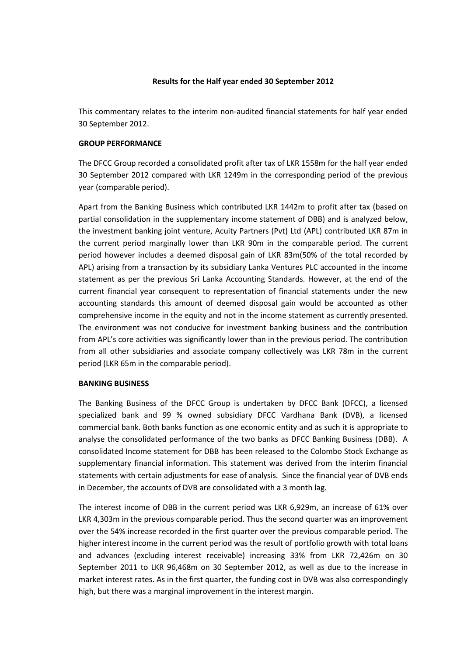# **Results for the Half year ended 30 September 2012**

This commentary relates to the interim non-audited financial statements for half year ended 30 September 2012.

# **GROUP PERFORMANCE**

The DFCC Group recorded a consolidated profit after tax of LKR 1558m for the half year ended 30 September 2012 compared with LKR 1249m in the corresponding period of the previous year (comparable period).

Apart from the Banking Business which contributed LKR 1442m to profit after tax (based on partial consolidation in the supplementary income statement of DBB) and is analyzed below, the investment banking joint venture, Acuity Partners (Pvt) Ltd (APL) contributed LKR 87m in the current period marginally lower than LKR 90m in the comparable period. The current period however includes a deemed disposal gain of LKR 83m(50% of the total recorded by APL) arising from a transaction by its subsidiary Lanka Ventures PLC accounted in the income statement as per the previous Sri Lanka Accounting Standards. However, at the end of the current financial year consequent to representation of financial statements under the new accounting standards this amount of deemed disposal gain would be accounted as other comprehensive income in the equity and not in the income statement as currently presented. The environment was not conducive for investment banking business and the contribution from APL's core activities was significantly lower than in the previous period. The contribution from all other subsidiaries and associate company collectively was LKR 78m in the current period (LKR 65m in the comparable period).

# **BANKING BUSINESS**

The Banking Business of the DFCC Group is undertaken by DFCC Bank (DFCC), a licensed specialized bank and 99 % owned subsidiary DFCC Vardhana Bank (DVB), a licensed commercial bank. Both banks function as one economic entity and as such it is appropriate to analyse the consolidated performance of the two banks as DFCC Banking Business (DBB). A consolidated Income statement for DBB has been released to the Colombo Stock Exchange as supplementary financial information. This statement was derived from the interim financial statements with certain adjustments for ease of analysis. Since the financial year of DVB ends in December, the accounts of DVB are consolidated with a 3 month lag.

The interest income of DBB in the current period was LKR 6,929m, an increase of 61% over LKR 4,303m in the previous comparable period. Thus the second quarter was an improvement over the 54% increase recorded in the first quarter over the previous comparable period. The higher interest income in the current period was the result of portfolio growth with total loans and advances (excluding interest receivable) increasing 33% from LKR 72,426m on 30 September 2011 to LKR 96,468m on 30 September 2012, as well as due to the increase in market interest rates. As in the first quarter, the funding cost in DVB was also correspondingly high, but there was a marginal improvement in the interest margin.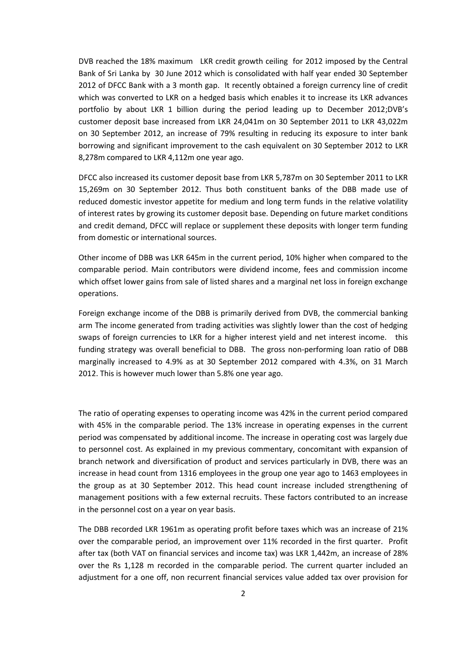DVB reached the 18% maximum LKR credit growth ceiling for 2012 imposed by the Central Bank of Sri Lanka by 30 June 2012 which is consolidated with half year ended 30 September 2012 of DFCC Bank with a 3 month gap. It recently obtained a foreign currency line of credit which was converted to LKR on a hedged basis which enables it to increase its LKR advances portfolio by about LKR 1 billion during the period leading up to December 2012;DVB's customer deposit base increased from LKR 24,041m on 30 September 2011 to LKR 43,022m on 30 September 2012, an increase of 79% resulting in reducing its exposure to inter bank borrowing and significant improvement to the cash equivalent on 30 September 2012 to LKR 8,278m compared to LKR 4,112m one year ago.

DFCC also increased its customer deposit base from LKR 5,787m on 30 September 2011 to LKR 15,269m on 30 September 2012. Thus both constituent banks of the DBB made use of reduced domestic investor appetite for medium and long term funds in the relative volatility of interest rates by growing its customer deposit base. Depending on future market conditions and credit demand, DFCC will replace or supplement these deposits with longer term funding from domestic or international sources.

Other income of DBB was LKR 645m in the current period, 10% higher when compared to the comparable period. Main contributors were dividend income, fees and commission income which offset lower gains from sale of listed shares and a marginal net loss in foreign exchange operations.

Foreign exchange income of the DBB is primarily derived from DVB, the commercial banking arm The income generated from trading activities was slightly lower than the cost of hedging swaps of foreign currencies to LKR for a higher interest yield and net interest income. this funding strategy was overall beneficial to DBB. The gross non-performing loan ratio of DBB marginally increased to 4.9% as at 30 September 2012 compared with 4.3%, on 31 March 2012. This is however much lower than 5.8% one year ago.

The ratio of operating expenses to operating income was 42% in the current period compared with 45% in the comparable period. The 13% increase in operating expenses in the current period was compensated by additional income. The increase in operating cost was largely due to personnel cost. As explained in my previous commentary, concomitant with expansion of branch network and diversification of product and services particularly in DVB, there was an increase in head count from 1316 employees in the group one year ago to 1463 employees in the group as at 30 September 2012. This head count increase included strengthening of management positions with a few external recruits. These factors contributed to an increase in the personnel cost on a year on year basis.

The DBB recorded LKR 1961m as operating profit before taxes which was an increase of 21% over the comparable period, an improvement over 11% recorded in the first quarter. Profit after tax (both VAT on financial services and income tax) was LKR 1,442m, an increase of 28% over the Rs 1,128 m recorded in the comparable period. The current quarter included an adjustment for a one off, non recurrent financial services value added tax over provision for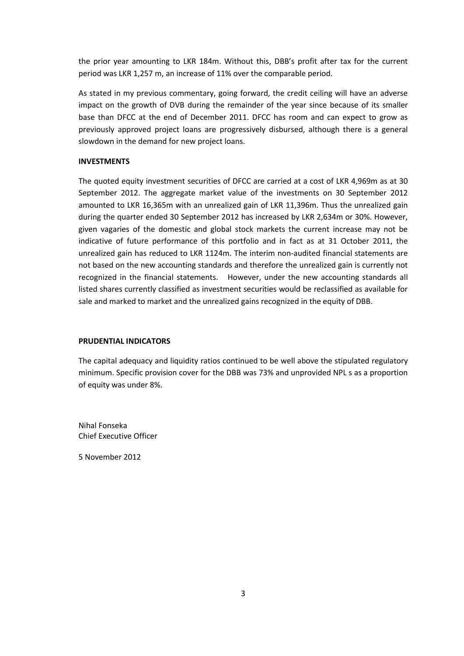the prior year amounting to LKR 184m. Without this, DBB's profit after tax for the current period was LKR 1,257 m, an increase of 11% over the comparable period.

As stated in my previous commentary, going forward, the credit ceiling will have an adverse impact on the growth of DVB during the remainder of the year since because of its smaller base than DFCC at the end of December 2011. DFCC has room and can expect to grow as previously approved project loans are progressively disbursed, although there is a general slowdown in the demand for new project loans.

# **INVESTMENTS**

The quoted equity investment securities of DFCC are carried at a cost of LKR 4,969m as at 30 September 2012. The aggregate market value of the investments on 30 September 2012 amounted to LKR 16,365m with an unrealized gain of LKR 11,396m. Thus the unrealized gain during the quarter ended 30 September 2012 has increased by LKR 2,634m or 30%. However, given vagaries of the domestic and global stock markets the current increase may not be indicative of future performance of this portfolio and in fact as at 31 October 2011, the unrealized gain has reduced to LKR 1124m. The interim non-audited financial statements are not based on the new accounting standards and therefore the unrealized gain is currently not recognized in the financial statements. However, under the new accounting standards all listed shares currently classified as investment securities would be reclassified as available for sale and marked to market and the unrealized gains recognized in the equity of DBB.

# **PRUDENTIAL INDICATORS**

The capital adequacy and liquidity ratios continued to be well above the stipulated regulatory minimum. Specific provision cover for the DBB was 73% and unprovided NPL s as a proportion of equity was under 8%.

Nihal Fonseka Chief Executive Officer

5 November 2012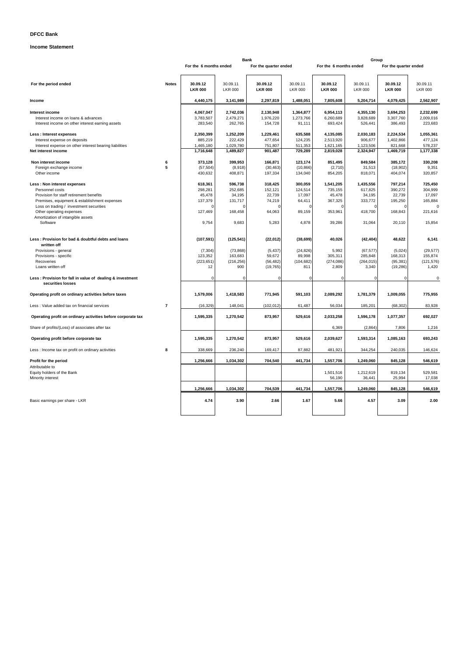# **DFCC Bank**

# **Income Statement**

|                                                                                                                                                                                                                                                                   |                | <b>Bank</b>                                                 |                                                             |                                                                       | Group                                                     |                                                                            |                                                                            |                                                                   |                                                              |
|-------------------------------------------------------------------------------------------------------------------------------------------------------------------------------------------------------------------------------------------------------------------|----------------|-------------------------------------------------------------|-------------------------------------------------------------|-----------------------------------------------------------------------|-----------------------------------------------------------|----------------------------------------------------------------------------|----------------------------------------------------------------------------|-------------------------------------------------------------------|--------------------------------------------------------------|
|                                                                                                                                                                                                                                                                   |                | For the 6 months ended                                      |                                                             | For the quarter ended                                                 |                                                           | For the 6 months ended                                                     |                                                                            | For the quarter ended                                             |                                                              |
| For the period ended                                                                                                                                                                                                                                              | <b>Notes</b>   | 30.09.12<br><b>LKR 000</b>                                  | 30.09.11<br><b>LKR 000</b>                                  | 30.09.12<br><b>LKR 000</b>                                            | 30.09.11<br><b>LKR 000</b>                                | 30.09.12<br><b>LKR 000</b>                                                 | 30.09.11<br><b>LKR 000</b>                                                 | 30.09.12<br><b>LKR 000</b>                                        | 30.09.11<br><b>LKR 000</b>                                   |
| Income                                                                                                                                                                                                                                                            |                | 4,440,175                                                   | 3,141,989                                                   | 2,297,819                                                             | 1,488,051                                                 | 7,805,608                                                                  | 5,204,714                                                                  | 4,079,425                                                         | 2,562,907                                                    |
| Interest income<br>Interest income on loans & advances<br>Interest income on other interest earning assets                                                                                                                                                        |                | 4,067,047<br>3,783,507<br>283,540                           | 2,742,036<br>2,479,271<br>262,765                           | 2,130,948<br>1,976,220<br>154,728                                     | 1,364,877<br>1,273,766<br>91,111                          | 6,954,113<br>6,260,689<br>693,424                                          | 4,355,130<br>3,828,689<br>526,441                                          | 3,694,253<br>3,307,760<br>386,493                                 | 2,232,699<br>2,009,016<br>223,683                            |
| Less : Interest expenses<br>Interest expense on deposits<br>Interest expense on other interest bearing liabilities<br>Net interest income                                                                                                                         |                | 2,350,399<br>885,219<br>1,465,180<br>1,716,648              | 1,252,209<br>222,429<br>1,029,780<br>1,489,827              | 1,229,461<br>477,654<br>751,807<br>901,487                            | 635,588<br>124,235<br>511,353<br>729,289                  | 4,135,085<br>2,513,920<br>1,621,165<br>2,819,028                           | 2,030,183<br>906,677<br>1,123,506<br>2,324,947                             | 2,224,534<br>1,402,866<br>821,668<br>1,469,719                    | 1,055,361<br>477,124<br>578,237<br>1,177,338                 |
| Non interest income<br>Foreign exchange income<br>Other income                                                                                                                                                                                                    | 6<br>5         | 373,128<br>(57, 504)<br>430,632                             | 399,953<br>(8,918)<br>408,871                               | 166,871<br>(30, 463)<br>197,334                                       | 123,174<br>(10, 866)<br>134,040                           | 851,495<br>(2,710)<br>854,205                                              | 849,584<br>31,513<br>818,071                                               | 385,172<br>(18,902)<br>404,074                                    | 330,208<br>9,351<br>320,857                                  |
| Less: Non interest expenses<br>Personnel costs<br>Provision for staff retirement benefits<br>Premises, equipment & establishment expenses<br>Loss on trading / investment securities<br>Other operating expenses<br>Amortization of intangible assets<br>Software |                | 618,361<br>298,281<br>45,478<br>137,379<br>127,469<br>9,754 | 596,738<br>252,685<br>34,195<br>131,717<br>168,458<br>9,683 | 318,425<br>152,121<br>22,739<br>74,219<br>$\Omega$<br>64,063<br>5,283 | 300,059<br>124,514<br>17,097<br>64,411<br>89,159<br>4,878 | 1,541,205<br>735,155<br>45,478<br>367,325<br>$\Omega$<br>353,961<br>39,286 | 1,435,556<br>617,825<br>34,195<br>333,772<br>$\Omega$<br>418,700<br>31,064 | 797,214<br>390,272<br>22,739<br>195,250<br>O<br>168,843<br>20,110 | 725,450<br>304,999<br>17,097<br>165,884<br>221,616<br>15,854 |
| Less: Provision for bad & doubtful debts and loans<br>written off<br>Provisions - general<br>Provisions - specific<br>Recoveries<br>Loans written off                                                                                                             |                | (107, 591)<br>(7, 304)<br>123,352<br>(223, 651)<br>12       | (125, 541)<br>(73, 868)<br>163,683<br>(216, 256)<br>900     | (22, 012)<br>(5, 437)<br>59,672<br>(56, 482)<br>(19, 765)             | (38, 699)<br>(24, 826)<br>89,998<br>(104, 682)<br>811     | 40,026<br>5,992<br>305,311<br>(274, 086)<br>2,809                          | (42, 404)<br>(67, 577)<br>285,848<br>(264, 015)<br>3,340                   | 48,622<br>(5,024)<br>168,313<br>(95, 381)<br>(19, 286)            | 6,141<br>(29, 577)<br>155,874<br>(121, 576)<br>1,420         |
| Less: Provision for fall in value of dealing & investment<br>securities losses                                                                                                                                                                                    |                | $\Omega$                                                    | $\Omega$                                                    | 0                                                                     | $\Omega$                                                  | 0                                                                          | 0                                                                          | 0                                                                 | $\mathbf 0$                                                  |
| Operating profit on ordinary activities before taxes                                                                                                                                                                                                              |                | 1,579,006                                                   | 1,418,583                                                   | 771,945                                                               | 591,103                                                   | 2,089,292                                                                  | 1,781,379                                                                  | 1,009,055                                                         | 775,955                                                      |
| Less : Value added tax on financial services                                                                                                                                                                                                                      | $\overline{7}$ | (16, 329)                                                   | 148,041                                                     | (102, 012)                                                            | 61,487                                                    | 56,034                                                                     | 185,201                                                                    | (68, 302)                                                         | 83,928                                                       |
| Operating profit on ordinary activities before corporate tax                                                                                                                                                                                                      |                | 1,595,335                                                   | 1,270,542                                                   | 873,957                                                               | 529.616                                                   | 2,033,258                                                                  | 1,596,178                                                                  | 1,077,357                                                         | 692,027                                                      |
| Share of profits/(Loss) of associates after tax                                                                                                                                                                                                                   |                |                                                             |                                                             |                                                                       |                                                           | 6,369                                                                      | (2,864)                                                                    | 7,806                                                             | 1,216                                                        |
| Operating profit before corporate tax                                                                                                                                                                                                                             |                | 1,595,335                                                   | 1,270,542                                                   | 873,957                                                               | 529,616                                                   | 2,039,627                                                                  | 1,593,314                                                                  | 1,085,163                                                         | 693,243                                                      |
| Less : Income tax on profit on ordinary activities                                                                                                                                                                                                                | 8              | 338,669                                                     | 236,240                                                     | 169,417                                                               | 87,882                                                    | 481,921                                                                    | 344,254                                                                    | 240,035                                                           | 146,624                                                      |
| Profit for the period                                                                                                                                                                                                                                             |                | 1,256,666                                                   | 1,034,302                                                   | 704,540                                                               | 441,734                                                   | 1,557,706                                                                  | 1,249,060                                                                  | 845,128                                                           | 546,619                                                      |
| Attributable to<br>Equity holders of the Bank<br>Minority interest                                                                                                                                                                                                |                |                                                             |                                                             |                                                                       |                                                           | 1,501,516<br>56,190                                                        | 1,212,619<br>36,441                                                        | 819,134<br>25,994                                                 | 529,581<br>17,038                                            |
|                                                                                                                                                                                                                                                                   |                | 1,256,666                                                   | 1,034,302                                                   | 704,539                                                               | 441,734                                                   | 1,557,706                                                                  | 1,249,060                                                                  | 845,128                                                           | 546,619                                                      |
| Basic earnings per share - LKR                                                                                                                                                                                                                                    |                | 4.74                                                        | 3.90                                                        | 2.66                                                                  | 1.67                                                      | 5.66                                                                       | 4.57                                                                       | 3.09                                                              | 2.00                                                         |
|                                                                                                                                                                                                                                                                   |                |                                                             |                                                             |                                                                       |                                                           |                                                                            |                                                                            |                                                                   |                                                              |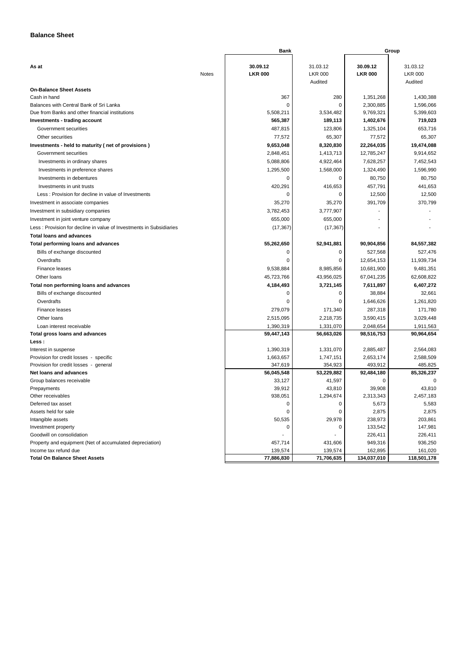# **Balance Sheet**

|                                                                     |              | Bank                       |                            |                            | Group                      |
|---------------------------------------------------------------------|--------------|----------------------------|----------------------------|----------------------------|----------------------------|
|                                                                     |              |                            |                            |                            |                            |
| As at                                                               |              | 30.09.12<br><b>LKR 000</b> | 31.03.12<br><b>LKR 000</b> | 30.09.12<br><b>LKR 000</b> | 31.03.12<br><b>LKR 000</b> |
|                                                                     | <b>Notes</b> |                            | Audited                    |                            | Audited                    |
| <b>On-Balance Sheet Assets</b>                                      |              |                            |                            |                            |                            |
| Cash in hand                                                        |              | 367                        | 280                        | 1,351,268                  | 1,430,388                  |
| Balances with Central Bank of Sri Lanka                             |              | 0                          | $\mathbf 0$                | 2,300,885                  | 1,596,066                  |
| Due from Banks and other financial institutions                     |              | 5,508,211                  | 3,534,482                  | 9,769,321                  | 5,399,603                  |
| Investments - trading account                                       |              | 565,387                    | 189,113                    | 1,402,676                  | 719,023                    |
| Government securities                                               |              | 487,815                    | 123,806                    | 1,325,104                  | 653,716                    |
| Other securities                                                    |              | 77,572                     | 65,307                     | 77,572                     | 65,307                     |
| Investments - held to maturity (net of provisions)                  |              | 9,653,048                  | 8,320,830                  | 22,264,035                 | 19,474,088                 |
| Government securities                                               |              | 2,848,451                  | 1,413,713                  | 12,785,247                 | 9,914,652                  |
| Investments in ordinary shares                                      |              | 5,088,806                  | 4,922,464                  | 7,628,257                  | 7,452,543                  |
| Investments in preference shares                                    |              | 1,295,500                  | 1,568,000                  | 1,324,490                  | 1,596,990                  |
| Investments in debentures                                           |              | 0                          | 0                          | 80,750                     | 80,750                     |
| Investments in unit trusts                                          |              | 420,291                    | 416,653                    | 457,791                    | 441,653                    |
| Less: Provision for decline in value of Investments                 |              | 0                          | 0                          | 12,500                     | 12,500                     |
| Investment in associate companies                                   |              | 35,270                     | 35,270                     | 391,709                    | 370,799                    |
| Investment in subsidiary companies                                  |              | 3,782,453                  | 3,777,907                  |                            |                            |
| Investment in joint venture company                                 |              | 655,000                    | 655,000                    |                            |                            |
| Less: Provision for decline in value of Investments in Subsidiaries |              | (17, 367)                  | (17, 367)                  |                            |                            |
| <b>Total loans and advances</b>                                     |              |                            |                            |                            |                            |
| Total performing loans and advances                                 |              | 55,262,650                 | 52,941,881                 | 90,904,856                 | 84,557,382                 |
| Bills of exchange discounted                                        |              | $\Omega$                   | 0                          | 527,568                    | 527,476                    |
| Overdrafts                                                          |              | 0                          | 0                          | 12,654,153                 | 11,939,734                 |
|                                                                     |              | 9.538.884                  | 8.985.856                  |                            |                            |
| Finance leases                                                      |              |                            |                            | 10,681,900                 | 9,481,351                  |
| Other Ioans                                                         |              | 45,723,766                 | 43,956,025                 | 67,041,235                 | 62,608,822                 |
| Total non performing loans and advances                             |              | 4,184,493                  | 3,721,145                  | 7,611,897                  | 6,407,272                  |
| Bills of exchange discounted                                        |              | 0<br>0                     | 0<br>0                     | 38,884                     | 32,661                     |
| Overdrafts                                                          |              |                            |                            | 1,646,626                  | 1,261,820                  |
| Finance leases                                                      |              | 279,079                    | 171,340                    | 287,318                    | 171,780                    |
| Other loans                                                         |              | 2,515,095                  | 2,218,735                  | 3,590,415                  | 3,029,448                  |
| Loan interest receivable                                            |              | 1,390,319                  | 1,331,070                  | 2,048,654                  | 1,911,563                  |
| <b>Total gross loans and advances</b>                               |              | 59,447,143                 | 56,663,026                 | 98,516,753                 | 90,964,654                 |
| Less :<br>Interest in suspense                                      |              | 1,390,319                  | 1,331,070                  | 2,885,487                  | 2,564,083                  |
| Provision for credit losses - specific                              |              | 1,663,657                  | 1,747,151                  | 2,653,174                  | 2,588,509                  |
| Provision for credit losses - general                               |              | 347,619                    | 354,923                    | 493,912                    | 485,825                    |
| Net loans and advances                                              |              | 56,045,548                 | 53,229,882                 | 92,484,180                 | 85,326,237                 |
| Group balances receivable                                           |              | 33,127                     | 41,597                     | $\Omega$                   | $\Omega$                   |
| Prepayments                                                         |              | 39,912                     | 43,810                     | 39,908                     | 43,810                     |
| Other receivables                                                   |              | 938,051                    | 1,294,674                  | 2,313,343                  | 2,457,183                  |
| Deferred tax asset                                                  |              | 0                          | 0                          | 5,673                      | 5,583                      |
| Assets held for sale                                                |              | 0                          | $\mathbf 0$                | 2,875                      | 2,875                      |
| Intangible assets                                                   |              | 50,535                     | 29,978                     | 238,973                    | 203,861                    |
| Investment property                                                 |              | 0                          | 0                          | 133,542                    | 147,981                    |
| Goodwill on consolidation                                           |              |                            |                            | 226,411                    | 226,411                    |
| Property and equipment (Net of accumulated depreciation)            |              | 457,714                    | 431,606                    | 949,316                    | 936,250                    |
| Income tax refund due                                               |              | 139,574                    | 139,574                    | 162,895                    | 161,020                    |
| <b>Total On Balance Sheet Assets</b>                                |              | 77,886,830                 | 71,706,635                 | 134,037,010                | 118,501,178                |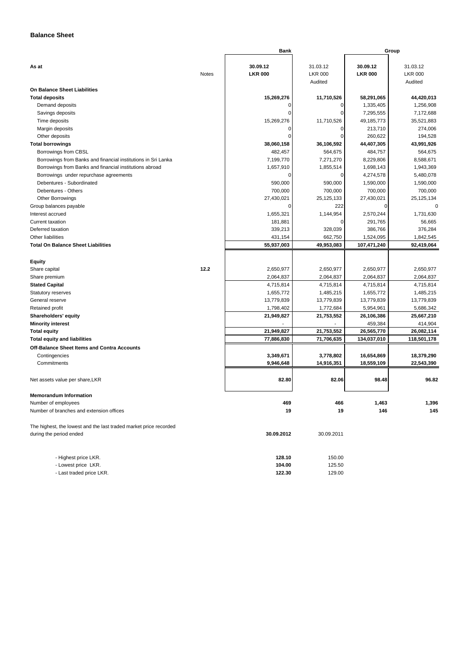# **Balance Sheet**

|                                                                   |       | <b>Bank</b>    |                | Group          |                |  |
|-------------------------------------------------------------------|-------|----------------|----------------|----------------|----------------|--|
| As at                                                             |       | 30.09.12       | 31.03.12       | 30.09.12       | 31.03.12       |  |
|                                                                   | Notes | <b>LKR 000</b> | <b>LKR 000</b> | <b>LKR 000</b> | <b>LKR 000</b> |  |
|                                                                   |       |                | Audited        |                | Audited        |  |
| On Balance Sheet Liabilities                                      |       |                |                |                |                |  |
| <b>Total deposits</b>                                             |       | 15,269,276     | 11,710,526     | 58,291,065     | 44,420,013     |  |
| Demand deposits                                                   |       | 0              | 0              | 1,335,405      | 1,256,908      |  |
| Savings deposits                                                  |       | $\mathbf 0$    | $\mathbf 0$    | 7,295,555      | 7,172,688      |  |
| Time deposits                                                     |       | 15,269,276     | 11,710,526     | 49,185,773     | 35,521,883     |  |
| Margin deposits                                                   |       | 0              | 0              | 213,710        | 274,006        |  |
| Other deposits                                                    |       | $\mathbf 0$    | $\mathbf 0$    | 260,622        | 194,528        |  |
| <b>Total borrowings</b>                                           |       | 38,060,158     | 36,106,592     | 44,407,305     | 43,991,926     |  |
| Borrowings from CBSL                                              |       | 482,457        | 564,675        | 484,757        | 564,675        |  |
| Borrowings from Banks and financial institutions in Sri Lanka     |       | 7,199,770      | 7,271,270      | 8,229,806      | 8,588,671      |  |
| Borrowings from Banks and financial institutions abroad           |       | 1,657,910      | 1,855,514      | 1,698,143      | 1,943,369      |  |
| Borrowings under repurchase agreements                            |       | 0              | 0              | 4,274,578      | 5,480,078      |  |
| Debentures - Subordinated                                         |       | 590,000        | 590,000        | 1,590,000      | 1,590,000      |  |
| Debentures - Others                                               |       | 700,000        | 700,000        | 700,000        | 700,000        |  |
| <b>Other Borrowings</b>                                           |       | 27,430,021     | 25,125,133     | 27,430,021     | 25,125,134     |  |
| Group balances payable                                            |       | 0              | 222            | 0              | $\Omega$       |  |
| Interest accrued                                                  |       | 1,655,321      | 1,144,954      | 2,570,244      | 1,731,630      |  |
| Current taxation                                                  |       | 181,881        | 0              | 291,765        | 56,665         |  |
| Deferred taxation                                                 |       | 339.213        | 328,039        | 386,766        | 376,284        |  |
| Other liabilities                                                 |       | 431,154        | 662,750        | 1,524,095      | 1,842,545      |  |
| <b>Total On Balance Sheet Liabilities</b>                         |       | 55,937,003     | 49,953,083     | 107,471,240    | 92,419,064     |  |
|                                                                   |       |                |                |                |                |  |
| <b>Equity</b>                                                     |       |                |                |                |                |  |
| Share capital                                                     | 12.2  | 2,650,977      | 2,650,977      | 2,650,977      | 2,650,977      |  |
| Share premium                                                     |       | 2,064,837      | 2,064,837      | 2,064,837      | 2,064,837      |  |
| <b>Stated Capital</b>                                             |       | 4,715,814      | 4,715,814      | 4,715,814      | 4,715,814      |  |
| Statutory reserves                                                |       | 1,655,772      | 1,485,215      | 1,655,772      | 1,485,215      |  |
| General reserve                                                   |       | 13,779,839     | 13,779,839     | 13,779,839     | 13,779,839     |  |
| Retained profit                                                   |       | 1,798,402      | 1,772,684      | 5,954,961      | 5,686,342      |  |
| Shareholders' equity                                              |       | 21,949,827     | 21,753,552     | 26,106,386     | 25,667,210     |  |
| <b>Minority interest</b>                                          |       |                |                | 459,384        | 414,904        |  |
| <b>Total equity</b>                                               |       | 21,949,827     | 21,753,552     | 26,565,770     | 26,082,114     |  |
| <b>Total equity and liabilities</b>                               |       | 77,886,830     | 71,706,635     | 134,037,010    | 118,501,178    |  |
| Off-Balance Sheet Items and Contra Accounts                       |       |                |                |                |                |  |
| Contingencies                                                     |       | 3,349,671      | 3,778,802      | 16,654,869     | 18,379,290     |  |
| Commitments                                                       |       | 9,946,648      | 14,916,351     | 18,559,109     | 22,543,390     |  |
|                                                                   |       | 82.80          |                | 98.48          | 96.82          |  |
| Net assets value per share, LKR                                   |       |                | 82.06          |                |                |  |
| <b>Memorandum Information</b>                                     |       |                |                |                |                |  |
| Number of employees                                               |       | 469            | 466            | 1,463          | 1,396          |  |
| Number of branches and extension offices                          |       | 19             | 19             | 146            | 145            |  |
|                                                                   |       |                |                |                |                |  |
| The highest, the lowest and the last traded market price recorded |       |                |                |                |                |  |
| during the period ended                                           |       | 30.09.2012     | 30.09.2011     |                |                |  |
|                                                                   |       |                |                |                |                |  |
| - Highest price LKR.                                              |       | 128.10         | 150.00         |                |                |  |
| - Lowest price LKR.                                               |       | 104.00         | 125.50         |                |                |  |

- Last traded price LKR. **122.30** 129.00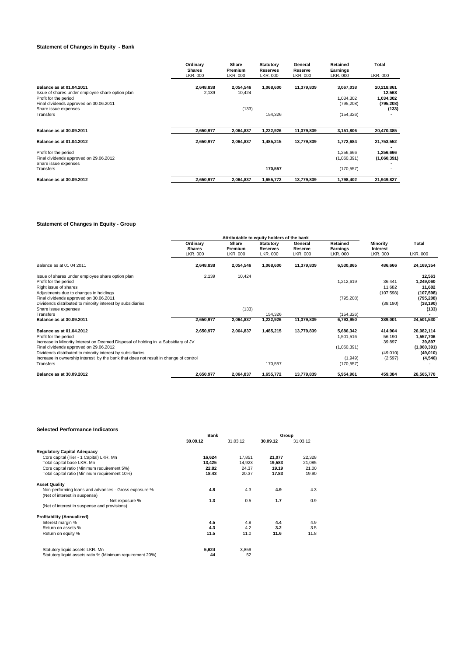# **Statement of Changes in Equity - Bank**

|                                                                           | Ordinary<br><b>Shares</b><br>LKR. 000 | Share<br>Premium<br>LKR. 000 | <b>Statutory</b><br><b>Reserves</b><br>LKR, 000 | General<br>Reserve<br>LKR. 000 | Retained<br>Earnings<br>LKR. 000 | Total<br>LKR. 000        |
|---------------------------------------------------------------------------|---------------------------------------|------------------------------|-------------------------------------------------|--------------------------------|----------------------------------|--------------------------|
| Balance as at 01.04.2011                                                  | 2,648,838                             | 2,054,546                    | 1,068,600                                       | 11,379,839                     | 3,067,038                        | 20,218,861               |
| Issue of shares under employee share option plan<br>Profit for the period | 2,139                                 | 10,424                       |                                                 |                                | 1,034,302                        | 12,563<br>1,034,302      |
| Final dividends approved on 30.06.2011<br>Share issue expenses            |                                       | (133)                        |                                                 |                                | (795, 208)                       | (795, 208)<br>(133)      |
| Transfers                                                                 |                                       |                              | 154,326                                         |                                | (154, 326)                       |                          |
| Balance as at 30.09.2011                                                  | 2,650,977                             | 2,064,837                    | 1,222,926                                       | 11,379,839                     | 3,151,806                        | 20,470,385               |
| <b>Balance as at 01.04.2012</b>                                           | 2,650,977                             | 2,064,837                    | 1,485,215                                       | 13,779,839                     | 1,772,684                        | 21,753,552               |
| Profit for the period<br>Final dividends approved on 29.06.2012           |                                       |                              |                                                 |                                | 1,256,666<br>(1,060,391)         | 1,256,666<br>(1,060,391) |
| Share issue expenses<br>Transfers                                         |                                       |                              | 170,557                                         |                                | (170, 557)                       |                          |
| Balance as at 30.09.2012                                                  | 2,650,977                             | 2,064,837                    | 1,655,772                                       | 13,779,839                     | 1,798,402                        | 21,949,827               |

# **Statement of Changes in Equity - Group**

|                                                                                      | Attributable to equity holders of the bank |                              |                                                 |                                |                                  |                                  |                   |
|--------------------------------------------------------------------------------------|--------------------------------------------|------------------------------|-------------------------------------------------|--------------------------------|----------------------------------|----------------------------------|-------------------|
|                                                                                      | Ordinary<br><b>Shares</b><br>LKR, 000      | Share<br>Premium<br>LKR. 000 | <b>Statutory</b><br><b>Reserves</b><br>LKR, 000 | General<br>Reserve<br>LKR. 000 | Retained<br>Earnings<br>LKR. 000 | Minority<br>Interest<br>LKR. 000 | Total<br>LKR. 000 |
| Balance as at 01 04 2011                                                             | 2,648,838                                  | 2,054,546                    | 1,068,600                                       | 11,379,839                     | 6,530,865                        | 486,666                          | 24,169,354        |
|                                                                                      |                                            |                              |                                                 |                                |                                  |                                  |                   |
| Issue of shares under employee share option plan                                     | 2,139                                      | 10,424                       |                                                 |                                |                                  |                                  | 12,563            |
| Profit for the period                                                                |                                            |                              |                                                 |                                | 1,212,619                        | 36,441                           | 1,249,060         |
| Right issue of shares                                                                |                                            |                              |                                                 |                                |                                  | 11,682                           | 11,682            |
| Adjustments due to changes in holdings                                               |                                            |                              |                                                 |                                |                                  | (107, 598)                       | (107, 598)        |
| Final dividends approved on 30.06.2011                                               |                                            |                              |                                                 |                                | (795, 208)                       |                                  | (795, 208)        |
| Dividends distributed to minority interest by subsidiaries                           |                                            |                              |                                                 |                                |                                  | (38, 190)                        | (38, 190)         |
| Share issue expenses                                                                 |                                            | (133)                        |                                                 |                                |                                  |                                  | (133)             |
| Transfers                                                                            |                                            |                              | 154,326                                         |                                | (154, 326)                       |                                  |                   |
| <b>Balance as at 30.09.2011</b>                                                      | 2,650,977                                  | 2,064,837                    | 1,222,926                                       | 11,379,839                     | 6,793,950                        | 389,001                          | 24,501,530        |
| Balance as at 01.04.2012                                                             | 2,650,977                                  | 2,064,837                    | 1,485,215                                       | 13,779,839                     | 5,686,342                        | 414,904                          | 26,082,114        |
| Profit for the period                                                                |                                            |                              |                                                 |                                | 1,501,516                        | 56,190                           | 1,557,706         |
| Increase in Minority Interest on Deemed Disposal of holding in a Subsidiary of JV    |                                            |                              |                                                 |                                |                                  | 39,897                           | 39,897            |
| Final dividends approved on 29.06.2012                                               |                                            |                              |                                                 |                                | (1,060,391)                      |                                  | (1,060,391)       |
| Dividends distributed to minority interest by subsidiaries                           |                                            |                              |                                                 |                                |                                  | (49,010)                         | (49,010)          |
| Increase in ownership interest by the bank that does not result in change of control |                                            |                              |                                                 |                                | (1,949)                          | (2,597)                          | (4, 546)          |
| Transfers                                                                            |                                            |                              | 170,557                                         |                                | (170, 557)                       |                                  |                   |
| Balance as at 30.09.2012                                                             | 2,650,977                                  | 2,064,837                    | 1,655,772                                       | 13,779,839                     | 5,954,961                        | 459,384                          | 26,565,770        |

# **Selected Performance Indicators**

|                                                           | <b>Bank</b> |          | Group    |          |  |
|-----------------------------------------------------------|-------------|----------|----------|----------|--|
|                                                           | 30.09.12    | 31.03.12 | 30.09.12 | 31.03.12 |  |
| <b>Regulatory Capital Adequacy</b>                        |             |          |          |          |  |
| Core capital (Tier - 1 Capital) LKR. Mn                   | 16,624      | 17,851   | 21,077   | 22,328   |  |
| Total capital base LKR. Mn                                | 13,425      | 14,923   | 19,583   | 21,085   |  |
| Core capital ratio (Minimum requirement 5%)               | 22.82       | 24.37    | 19.19    | 21.00    |  |
| Total capital ratio (Minimum requirement 10%)             | 18.43       | 20.37    | 17.83    | 19.90    |  |
| <b>Asset Quality</b>                                      |             |          |          |          |  |
| Non-performing loans and advances - Gross exposure %      | 4.8         | 4.3      | 4.9      | 4.3      |  |
| (Net of interest in suspense)                             |             |          |          |          |  |
| - Net exposure %                                          | 1.3         | 0.5      | 1.7      | 0.9      |  |
| (Net of interest in suspense and provisions)              |             |          |          |          |  |
| <b>Profitability (Annualized)</b>                         |             |          |          |          |  |
| Interest margin %                                         | 4.5         | 4.8      | 4.4      | 4.9      |  |
| Return on assets %                                        | 4.3         | 4.2      | 3.2      | 3.5      |  |
| Return on equity %                                        | 11.5        | 11.0     | 11.6     | 11.8     |  |
| Statutory liquid assets LKR. Mn                           | 5,624       | 3,859    |          |          |  |
| Statutory liquid assets ratio % (Minimum requirement 20%) | 44          | 52       |          |          |  |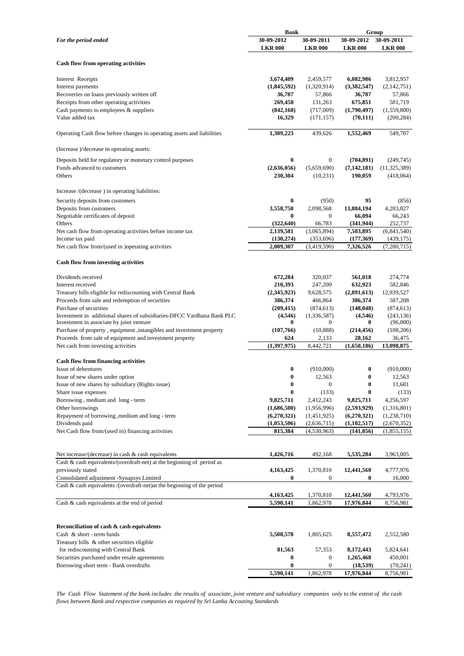|                                                                                                                    | <b>Bank</b>         |                       | Group                   |                        |  |
|--------------------------------------------------------------------------------------------------------------------|---------------------|-----------------------|-------------------------|------------------------|--|
| For the period ended                                                                                               | 30-09-2012          | 30-09-2011            | 30-09-2012              | 30-09-2011             |  |
|                                                                                                                    | <b>LKR 000</b>      | <b>LKR 000</b>        | <b>LKR 000</b>          | <b>LKR 000</b>         |  |
| <b>Cash flow from operating activities</b>                                                                         |                     |                       |                         |                        |  |
|                                                                                                                    |                     |                       |                         |                        |  |
| Interest Receipts                                                                                                  | 3,674,409           | 2,459,577             | 6,082,986               | 3,812,957              |  |
| Interest payments                                                                                                  | (1,845,592)         | (1,320,914)           | (3,382,547)             | (2,142,751)            |  |
| Recoveries on loans previously written off                                                                         | 36,787              | 57,866                | 36,787                  | 57,866                 |  |
| Receipts from other operating activities                                                                           | 269,458             | 131,263               | 675,851                 | 581,719                |  |
| Cash payments to employees $&$ suppliers                                                                           | (842, 168)          | (717,009)             | (1,790,497)             | (1,559,800)            |  |
| Value added tax                                                                                                    | 16,329              | (171, 157)            | (70, 111)               | (200, 284)             |  |
| Operating Cash flow before changes in operating assets and liabilities                                             | 1,309,223           | 439,626               | 1,552,469               | 549,707                |  |
| (Increase )/decrease in operating assets:                                                                          |                     |                       |                         |                        |  |
| Deposits held for regulatory or monetary control purposes                                                          | $\bf{0}$            | $\mathbf{0}$          | (704, 891)              | (249, 745)             |  |
| Funds advanced to customers                                                                                        | (2,636,056)         | (5,659,690)           | (7, 142, 181)           | (11,325,389)           |  |
| Others                                                                                                             | 230,304             | (10,231)              | 190,059                 | (418,064)              |  |
| Increase /(decrease) in operating liabilities:                                                                     |                     |                       |                         |                        |  |
| Security deposits from customers                                                                                   | $\bf{0}$            | (950)                 | 95                      | (856)                  |  |
| Deposits from customers                                                                                            | 3,558,750           | 2,098,568             | 13,884,194              | 4,283,827              |  |
| Negotiable certificates of deposit                                                                                 | $\bf{0}$            | $\mathbf{0}$          | 66,094                  | 66,243                 |  |
| Others                                                                                                             | (322, 640)          | 66,783                | (341, 944)              | 252,737                |  |
| Net cash flow from operating activities before income tax                                                          | 2,139,581           | (3,065,894)           | 7,503,895               | (6,841,540)            |  |
| Income tax paid                                                                                                    | (130, 274)          | (353, 696)            | (177, 369)              | (439, 175)             |  |
| Net cash flow from/(used in )operating activities                                                                  | 2,009,307           | (3,419,590)           | 7,326,526               | (7,280,715)            |  |
| <b>Cash flow from investing activities</b>                                                                         |                     |                       |                         |                        |  |
|                                                                                                                    |                     |                       |                         |                        |  |
| Dividends received                                                                                                 | 672,284             | 320,037               | 561,018                 | 274,774                |  |
| Interest received                                                                                                  | 210,393             | 247,200               | 632,923                 | 582,846                |  |
| Treasury bills eligible for rediscounting with Central Bank                                                        | (2,345,923)         | 9,628,575             | (2,891,613)             | 12,939,527             |  |
| Proceeds from sale and redemption of securities                                                                    | 386,374             | 466,864               | 386,374                 | 587,208                |  |
| Purchase of securities                                                                                             | (209, 415)          | (874, 613)            | (148, 048)              | (874, 613)             |  |
| Investment in additional shares of subsidiaries-DFCC Vardhana Bank PLC<br>Investment in associate by joint venture | (4,546)<br>$\bf{0}$ | (1,336,587)<br>0      | (4,546)<br>0            | (243, 136)<br>(96,000) |  |
| Purchase of property, equipment, intangibles and investment property                                               | (107,766)           | (10, 888)             | (214, 456)              | (108, 206)             |  |
| Proceeds from sale of equipment and investment property                                                            | 624                 | 2,133                 | 28,162                  | 36,475                 |  |
| Net cash from investing activities                                                                                 | (1, 397, 975)       | 8,442,721             | (1,650,186)             | 13,098,875             |  |
| Cash flow from financing activities                                                                                |                     |                       |                         |                        |  |
| Issue of debentures                                                                                                | $\bf{0}$            | (910,000)             | $\boldsymbol{0}$        | (910,000)              |  |
| Issue of new shares under option                                                                                   | $\bf{0}$            | 12,563                | $\bf{0}$                | 12,563                 |  |
| Issue of new shares by subsidiary (Rights issue)                                                                   | $\pmb{0}$           | $\boldsymbol{0}$      | $\bf{0}$                | 11,681                 |  |
| Share issue expenses                                                                                               | $\bf{0}$            | (133)                 | $\bf{0}$                | (133)                  |  |
| Borrowing, medium and long - term                                                                                  | 9,825,711           | 2,412,243             | 9,825,711               | 4,256,597              |  |
| Other borrowings                                                                                                   | (1,686,500)         | (1,956,996)           | (2,593,929)             | (1,316,801)            |  |
| Repayment of borrowing , medium and long - term                                                                    | (6,270,321)         | (1,451,925)           | (6,270,321)             | (1,238,710)            |  |
| Dividends paid                                                                                                     | (1,053,506)         | (2,636,715)           | (1, 102, 517)           | (2,670,352)            |  |
| Net Cash flow from/(used in) financing activities                                                                  | 815,384             | (4,530,963)           | (141, 056)              | (1,855,155)            |  |
|                                                                                                                    |                     |                       |                         |                        |  |
| Net increase/(decrease) in cash $\&$ cash equivalents                                                              | 1,426,716           | 492,168               | 5,535,284               | 3,963,005              |  |
| Cash & cash equivalents/(overdraft-net) at the beginning of period as                                              |                     |                       |                         |                        |  |
| previously stated                                                                                                  | 4,163,425           | 1,370,810             | 12,441,560              | 4,777,976              |  |
| Consolidated adjustment -Synapsys Limited                                                                          | $\bf{0}$            | $\mathbf{0}$          | $\bf{0}$                | 16,000                 |  |
| Cash & cash equivalents /(overdraft-net) at the beginning of the period                                            |                     |                       |                         |                        |  |
|                                                                                                                    | 4,163,425           | 1,370,810             | 12,441,560              | 4,793,976              |  |
| Cash & cash equivalents at the end of period                                                                       | 5,590,141           | 1,862,978             | 17,976,844              | 8,756,981              |  |
|                                                                                                                    |                     |                       |                         |                        |  |
| Reconciliation of cash & cash equivalents                                                                          |                     |                       |                         |                        |  |
| Cash & short - term funds                                                                                          | 5,508,578           | 1,805,625             | 8,557,472               | 2,552,580              |  |
| Treasury bills & other securities eligible                                                                         |                     |                       |                         |                        |  |
| for rediscounting with Central Bank                                                                                | 81,563              | 57,353                | 8,172,443               | 5,824,641              |  |
| Securities purchased under resale agreements                                                                       | 0<br>$\bf{0}$       | 0<br>$\boldsymbol{0}$ | 1,265,468               | 450,001                |  |
| Borrowing short term - Bank overdrafts                                                                             | 5,590,141           | 1,862,978             | (18, 539)<br>17,976,844 | (70, 241)<br>8,756,981 |  |
|                                                                                                                    |                     |                       |                         |                        |  |

*The Cash Flow Statement of the bank includes the results of associate, joint venture and subsidiary companies only to the extent of the cash flows between Bank and respective companies as required by Sri Lanka Accouting Standards*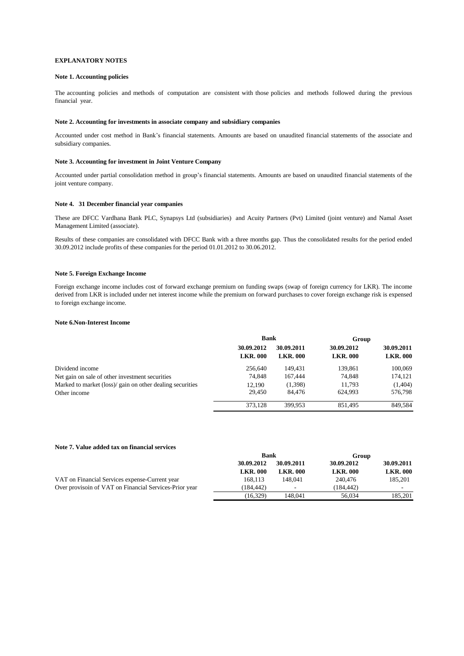### **EXPLANATORY NOTES**

# **Note 1. Accounting policies**

The accounting policies and methods of computation are consistent with those policies and methods followed during the previous financial year.

#### **Note 2. Accounting for investments in associate company and subsidiary companies**

Accounted under cost method in Bank's financial statements. Amounts are based on unaudited financial statements of the associate and subsidiary companies.

#### **Note 3. Accounting for investment in Joint Venture Company**

Accounted under partial consolidation method in group's financial statements. Amounts are based on unaudited financial statements of the joint venture company.

#### **Note 4. 31 December financial year companies**

These are DFCC Vardhana Bank PLC, Synapsys Ltd (subsidiaries) and Acuity Partners (Pvt) Limited (joint venture) and Namal Asset Management Limited (associate).

Results of these companies are consolidated with DFCC Bank with a three months gap. Thus the consolidated results for the period ended 30.09.2012 include profits of these companies for the period 01.01.2012 to 30.06.2012.

#### **Note 5. Foreign Exchange Income**

Foreign exchange income includes cost of forward exchange premium on funding swaps (swap of foreign currency for LKR). The income derived from LKR is included under net interest income while the premium on forward purchases to cover foreign exchange risk is expensed to foreign exchange income.

#### **Note 6.Non-Interest Income**

|                                                           | <b>Bank</b>                   |                               | Group                         |                               |
|-----------------------------------------------------------|-------------------------------|-------------------------------|-------------------------------|-------------------------------|
|                                                           | 30.09.2012<br><b>LKR. 000</b> | 30.09.2011<br><b>LKR. 000</b> | 30.09.2012<br><b>LKR. 000</b> | 30.09.2011<br><b>LKR. 000</b> |
| Dividend income                                           | 256,640                       | 149.431                       | 139.861                       | 100,069                       |
| Net gain on sale of other investment securities           | 74,848                        | 167,444                       | 74,848                        | 174,121                       |
| Marked to market (loss)/ gain on other dealing securities | 12.190                        | (1,398)                       | 11.793                        | (1,404)                       |
| Other income                                              | 29.450                        | 84.476                        | 624.993                       | 576,798                       |
|                                                           | 373,128                       | 399.953                       | 851.495                       | 849.584                       |

#### **Note 7. Value added tax on financial services**

|                                                        | <b>Bank</b>     |                | Group           |                 |
|--------------------------------------------------------|-----------------|----------------|-----------------|-----------------|
|                                                        | 30.09.2012      | 30.09.2011     | 30.09.2012      | 30.09.2011      |
|                                                        | <b>LKR. 000</b> | <b>LKR.000</b> | <b>LKR. 000</b> | <b>LKR. 000</b> |
| VAT on Financial Services expense-Current year         | 168.113         | 148.041        | 240,476         | 185,201         |
| Over provisoin of VAT on Financial Services-Prior year | (184.442)       | ۰              | (184.442)       | $\sim$          |
|                                                        | (16.329)        | 148.041        | 56,034          | 185.201         |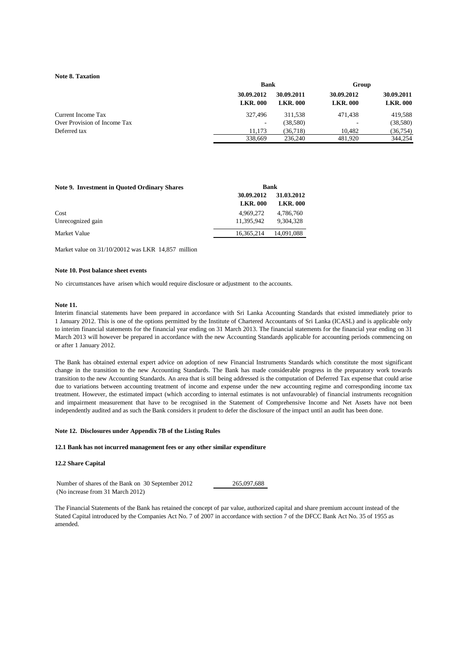### **Note 8. Taxation**

|                              |                               | <b>Bank</b>                   |                               |                               |
|------------------------------|-------------------------------|-------------------------------|-------------------------------|-------------------------------|
|                              | 30.09.2012<br><b>LKR. 000</b> | 30.09.2011<br><b>LKR. 000</b> | 30.09.2012<br><b>LKR. 000</b> | 30.09.2011<br><b>LKR. 000</b> |
| Current Income Tax           | 327.496                       | 311.538                       | 471.438                       | 419.588                       |
| Over Provision of Income Tax | ۰.                            | (38, 580)                     |                               | (38,580)                      |
| Deferred tax                 | 11.173                        | (36.718)                      | 10.482                        | (36, 754)                     |
|                              | 338,669                       | 236,240                       | 481.920                       | 344,254                       |

| <b>Note 9. Investment in Quoted Ordinary Shares</b> | <b>Bank</b>     |                 |  |
|-----------------------------------------------------|-----------------|-----------------|--|
|                                                     | 30.09.2012      | 31.03.2012      |  |
|                                                     | <b>LKR. 000</b> | <b>LKR. 000</b> |  |
| Cost                                                | 4.969.272       | 4.786.760       |  |
| Unrecognized gain                                   | 11.395.942      | 9.304.328       |  |
| Market Value                                        | 16.365.214      | 14,091,088      |  |

Market value on 31/10/20012 was LKR 14,857 million

### **Note 10. Post balance sheet events**

No circumstances have arisen which would require disclosure or adjustment to the accounts.

#### **Note 11.**

Interim financial statements have been prepared in accordance with Sri Lanka Accounting Standards that existed immediately prior to 1 January 2012. This is one of the options permitted by the Institute of Chartered Accountants of Sri Lanka (ICASL) and is applicable only to interim financial statements for the financial year ending on 31 March 2013. The financial statements for the financial year ending on 31 March 2013 will however be prepared in accordance with the new Accounting Standards applicable for accounting periods commencing on or after 1 January 2012.

The Bank has obtained external expert advice on adoption of new Financial Instruments Standards which constitute the most significant change in the transition to the new Accounting Standards. The Bank has made considerable progress in the preparatory work towards transition to the new Accounting Standards. An area that is still being addressed is the computation of Deferred Tax expense that could arise due to variations between accounting treatment of income and expense under the new accounting regime and corresponding income tax treatment. However, the estimated impact (which according to internal estimates is not unfavourable) of financial instruments recognition and impairment measurement that have to be recognised in the Statement of Comprehensive Income and Net Assets have not been independently audited and as such the Bank considers it prudent to defer the disclosure of the impact until an audit has been done.

### **Note 12. Disclosures under Appendix 7B of the Listing Rules**

#### **12.1 Bank has not incurred management fees or any other similar expenditure**

# **12.2 Share Capital**

 Number of shares of the Bank on 30 September 2012 265,097,688 (No increase from 31 March 2012)

The Financial Statements of the Bank has retained the concept of par value, authorized capital and share premium account instead of the Stated Capital introduced by the Companies Act No. 7 of 2007 in accordance with section 7 of the DFCC Bank Act No. 35 of 1955 as amended.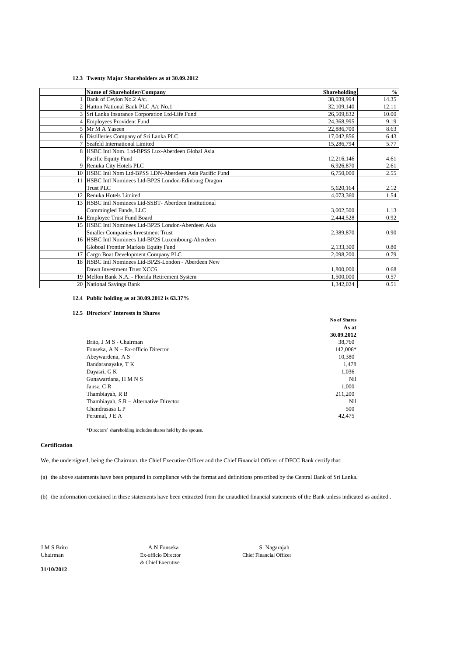# **12.3 Twenty Major Shareholders as at 30.09.2012**

| <b>Name of Shareholder/Company</b>                       | <b>Shareholding</b> | $\%$  |
|----------------------------------------------------------|---------------------|-------|
| Bank of Ceylon No.2 A/c.                                 | 38.039.994          | 14.35 |
| 2 Hatton National Bank PLC A/c No.1                      | 32,109,140          | 12.11 |
| 3 Sri Lanka Insurance Corporation Ltd-Life Fund          | 26,509,832          | 10.00 |
| 4 Employees Provident Fund                               | 24,368,995          | 9.19  |
| 5 Mr M A Yaseen                                          | 22,886,700          | 8.63  |
| 6 Distilleries Company of Sri Lanka PLC                  | 17,042,856          | 6.43  |
| 7 Seafeld International Limited                          | 15,286,794          | 5.77  |
| 8 HSBC Intl Nom. Ltd-BPSS Lux-Aberdeen Global Asia       |                     |       |
| Pacific Equity Fund                                      | 12,216,146          | 4.61  |
| 9 Renuka City Hotels PLC                                 | 6.926.870           | 2.61  |
| 10 HSBC Intl Nom Ltd-BPSS LDN-Aberdeen Asia Pacific Fund | 6,750,000           | 2.55  |
| 11 HSBC Intl Nominees Ltd-BP2S London-Edinburg Dragon    |                     |       |
| Trust PLC.                                               | 5,620,164           | 2.12  |
| 12 Renuka Hotels Limited                                 | 4,073,360           | 1.54  |
| 13 HSBC Intl Nominees Ltd-SSBT- Aberdeen Institutional   |                     |       |
| Commingled Funds, LLC                                    | 3,002,500           | 1.13  |
| 14 Employee Trust Fund Board                             | 2,444,528           | 0.92  |
| 15 HSBC Intl Nominees Ltd-BP2S London-Aberdeen Asia      |                     |       |
| <b>Smaller Companies Investment Trust</b>                | 2,389,870           | 0.90  |
| 16 HSBC Intl Nominees Ltd-BP2S Luxembourg-Aberdeen       |                     |       |
| Globoal Frontier Markets Equity Fund                     | 2,133,300           | 0.80  |
| 17 Cargo Boat Development Company PLC                    | 2,098,200           | 0.79  |
| 18 HSBC Intl Nominees Ltd-BP2S-London - Aberdeen New     |                     |       |
| Dawn Investment Trust XCC6                               | 1,800,000           | 0.68  |
| 19 Mellon Bank N.A. - Florida Retirement System          | 1,500,000           | 0.57  |
| 20 National Savings Bank                                 | 1,342,024           | 0.51  |

# **12.4 Public holding as at 30.09.2012 is 63.37%**

#### **12.5 Directors' Interests in Shares**

|                                        | As at      |
|----------------------------------------|------------|
|                                        | 30.09.2012 |
| Brito, J M S - Chairman                | 38,760     |
| Fonseka, A N - Ex-officio Director     | 142,006*   |
| Abeywardena, A S                       | 10.380     |
| Bandaranayake, T K                     | 1,478      |
| Dayasri, G K                           | 1,036      |
| Gunawardana, H M N S                   | Nil        |
| Jansz, C R                             | 1,000      |
| Thambiayah, R B                        | 211.200    |
| Thambiayah, S.R – Alternative Director | Nil        |
| Chandrasasa L P                        | 500        |
| Perumal. J E A                         | 42.475     |
|                                        |            |

\*Directors' shareholding includes shares held by the spouse.

#### **Certification**

We, the undersigned, being the Chairman, the Chief Executive Officer and the Chief Financial Officer of DFCC Bank certify that:

(a) the above statements have been prepared in compliance with the format and definitions prescribed by the Central Bank of Sri Lanka.

(b) the information contained in these statements have been extracted from the unaudited financial statements of the Bank unless indicated as audited .

& Chief Executive

Chairman Ex-officio Director Chief Financial Officer J M S Brito A.N Fonseka S. Nagarajah

**No of Shares**

**31/10/2012**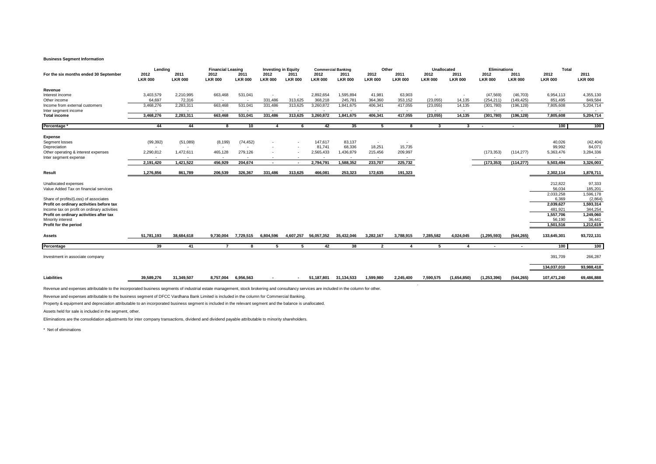#### **Business Segment Information**

| For the six months ended 30 September       | Lending<br>2012<br><b>LKR 000</b> | 2011<br><b>LKR 000</b>   | <b>Financial Leasing</b><br>2012<br><b>LKR 000</b> | 2011<br><b>LKR 000</b>   | <b>Investing in Equity</b><br>2012<br><b>LKR 000</b> | 2011<br><b>LKR 000</b> | 2012<br><b>LKR 000</b>   | <b>Commercial Banking</b><br>2011<br><b>LKR 000</b> | 2012<br><b>LKR 000</b>   | Other<br>2011<br><b>LKR 000</b> | Unallocated<br>2012<br><b>LKR 000</b> | 2011<br><b>LKR 000</b>   | <b>Eliminations</b><br>2012<br><b>LKR 000</b> | 2011<br><b>LKR 000</b> | Total<br>2012<br><b>LKR 000</b> | 2011<br><b>LKR 000</b> |
|---------------------------------------------|-----------------------------------|--------------------------|----------------------------------------------------|--------------------------|------------------------------------------------------|------------------------|--------------------------|-----------------------------------------------------|--------------------------|---------------------------------|---------------------------------------|--------------------------|-----------------------------------------------|------------------------|---------------------------------|------------------------|
| Revenue                                     |                                   |                          |                                                    |                          |                                                      |                        |                          |                                                     |                          |                                 |                                       |                          |                                               |                        |                                 |                        |
| Interest income                             | 3,403,579                         | 2,210,995                | 663,468                                            | 531,041                  |                                                      |                        | 2,892,654                | 1,595,894                                           | 41,981                   | 63,903                          |                                       | $\overline{\phantom{a}}$ | (47, 569)                                     | (46, 703)              | 6,954,113                       | 4,355,130              |
| Other income                                | 64.697                            | 72.316                   | $\sim$                                             | $\overline{\phantom{a}}$ | 331,486                                              | 313,625                | 368,218                  | 245,781                                             | 364,360                  | 353,152                         | (23, 055)                             | 14,135                   | (254, 211)                                    | (149, 425)             | 851.495                         | 849,584                |
| Income from external customers              | 3,468,276                         | 2,283,311                | 663,468                                            | 531,041                  | 331,486                                              | 313,625                | 3,260,872                | 1,841,675                                           | 406,341                  | 417,055                         | (23, 055)                             | 14,135                   | (301,780)                                     | (196, 128)             | 7,805,608                       | 5,204,714              |
| Inter segment income                        | $\overline{\phantom{a}}$          | $\overline{\phantom{a}}$ | $\sim$                                             | $\sim$                   | $\sim$                                               | . .                    | $\overline{\phantom{a}}$ | $\sim$                                              | $\sim$                   | $\sim$                          | $\sim$                                | $\sim$                   | $\overline{\phantom{a}}$                      | $\sim$                 |                                 |                        |
| <b>Total income</b>                         | 3,468,276                         | 2,283,311                | 663.468                                            | 531,041                  | 331,486                                              | 313,625                | 3,260,872                | 1.841.675                                           | 406,341                  | 417,055                         | (23, 055)                             | 14,135                   | (301,780)                                     | (196, 128)             | 7.805.608                       | 5,204,714              |
| Percentage                                  | 44                                | 44                       | 8                                                  | 10                       | $\Delta$                                             | - 6                    | 42                       | 35                                                  | 5                        | 8                               | $\mathbf{3}$                          | 3                        | . .                                           | $\sim$                 | 100                             | 100                    |
| <b>Expense</b>                              |                                   |                          |                                                    |                          |                                                      |                        |                          |                                                     |                          |                                 |                                       |                          |                                               |                        |                                 |                        |
| Segment losses                              | (99, 392)                         | (51,089)                 | (8, 199)                                           | (74, 452)                |                                                      |                        | 147,617                  | 83,137                                              | $\overline{\phantom{a}}$ | $\overline{\phantom{a}}$        |                                       |                          |                                               |                        | 40,026                          | (42, 404)              |
| Depreciation                                | $\overline{\phantom{a}}$          | $\overline{\phantom{a}}$ | $\sim$                                             | $\sim$                   |                                                      |                        | 81,741                   | 68,336                                              | 18,251                   | 15,735                          |                                       |                          |                                               |                        | 99,992                          | 84,071                 |
| Other operating & interest expenses         | 2,290,812                         | 1,472,611                | 465,128                                            | 279,126                  |                                                      |                        | 2,565,433                | 1,436,879                                           | 215,456                  | 209,997                         |                                       |                          | (173, 353)                                    | (114, 277)             | 5,363,476                       | 3,284,336              |
| Inter segment expense                       |                                   |                          |                                                    |                          |                                                      |                        |                          |                                                     |                          |                                 |                                       |                          |                                               |                        |                                 |                        |
|                                             | 2,191,420                         | 1,421,522                | 456.929                                            | 204,674                  | $\sim$                                               | $\sim$                 | 2,794,791                | 1,588,352                                           | 233,707                  | 225,732                         |                                       |                          | (173, 353)                                    | (114, 277)             | 5,503,494                       | 3,326,003              |
| Result                                      | 1,276,856                         | 861.789                  | 206,539                                            | 326,367                  | 331,486                                              | 313.625                | 466.081                  | 253,323                                             | 172,635                  | 191,323                         |                                       |                          |                                               |                        | 2,302,114                       | 1,878,711              |
|                                             |                                   |                          |                                                    |                          |                                                      |                        |                          |                                                     |                          |                                 |                                       |                          |                                               |                        |                                 |                        |
| Unallocated expenses                        |                                   |                          |                                                    |                          |                                                      |                        |                          |                                                     |                          |                                 |                                       |                          |                                               |                        | 212,822                         | 97,333                 |
| Value Added Tax on financial services       |                                   |                          |                                                    |                          |                                                      |                        |                          |                                                     |                          |                                 |                                       |                          |                                               |                        | 56.034                          | 185,201                |
|                                             |                                   |                          |                                                    |                          |                                                      |                        |                          |                                                     |                          |                                 |                                       |                          |                                               |                        | 2,033,258                       | 1,596,178              |
| Share of profits/(Loss) of associates       |                                   |                          |                                                    |                          |                                                      |                        |                          |                                                     |                          |                                 |                                       |                          |                                               |                        | 6.369                           | (2,864)                |
| Profit on ordinary activities before tax    |                                   |                          |                                                    |                          |                                                      |                        |                          |                                                     |                          |                                 |                                       |                          |                                               |                        | 2,039,627                       | 1,593,314              |
| Income tax on profit on ordinary activities |                                   |                          |                                                    |                          |                                                      |                        |                          |                                                     |                          |                                 |                                       |                          |                                               |                        | 481,921                         | 344,254                |
| Profit on ordinary activities after tax     |                                   |                          |                                                    |                          |                                                      |                        |                          |                                                     |                          |                                 |                                       |                          |                                               |                        | 1,557,706                       | 1,249,060              |
| Minority interest                           |                                   |                          |                                                    |                          |                                                      |                        |                          |                                                     |                          |                                 |                                       |                          |                                               |                        | 56,190                          | 36,441                 |
| Profit for the period                       |                                   |                          |                                                    |                          |                                                      |                        |                          |                                                     |                          |                                 |                                       |                          |                                               |                        | 1,501,516                       | 1,212,619              |
|                                             |                                   |                          |                                                    |                          |                                                      |                        |                          |                                                     |                          |                                 |                                       |                          |                                               |                        |                                 |                        |
| Assets                                      | 51,781,193                        | 38,684,618               | 9,730,004                                          | 7,729,515                | 6,804,596                                            | 4,607,257              | 56,057,352               | 35,432,046                                          | 3,282,167                | 3,788,915                       | 7,285,582                             | 4,024,045                | (1, 295, 593)                                 | (544, 265)             | 133,645,301                     | 93,722,131             |
|                                             |                                   |                          |                                                    |                          |                                                      |                        |                          |                                                     |                          |                                 |                                       |                          |                                               |                        |                                 |                        |
| Percentage                                  | 39                                | 41                       | $\overline{7}$                                     | 8                        | 5                                                    | 5                      | 42                       | 38                                                  | $\overline{2}$           | $\boldsymbol{\Lambda}$          | 5                                     | 4                        | $\sim$                                        |                        | 100                             | 100                    |
| Investment in associate company             |                                   |                          |                                                    |                          |                                                      |                        |                          |                                                     |                          |                                 |                                       |                          |                                               |                        | 391,709                         | 266,287                |
|                                             |                                   |                          |                                                    |                          |                                                      |                        |                          |                                                     |                          |                                 |                                       |                          |                                               |                        | 134,037,010                     | 93,988,418             |
| Liabilities                                 | 39,589,276                        | 31,349,507               |                                                    | 8,757,004 6,956,563      |                                                      | <b>COL</b>             | 51.187.801               | 31,134,533                                          | 1,599,980                | 2,245,400                       | 7,590,575                             | (1,654,850)              | (1, 253, 396)                                 | (544, 265)             | 107,471,240                     | 69,486,888             |
|                                             |                                   |                          |                                                    |                          |                                                      |                        |                          |                                                     |                          |                                 |                                       |                          |                                               |                        |                                 |                        |

.

Revenue and expenses attributable to the incorporated business segments of industrial estate management, stock brokering and consultancy services are included in the column for other.

Revenue and expenses attributable to the business segment of DFCC Vardhana Bank Limited is included in the column for Commercial Banking.

Property & equipment and depreciation attributable to an incorporated business segment is included in the relevant segment and the balance is unallocated.

Assets held for sale is included in the segment, other.

Eliminations are the consolidation adjustments for inter company transactions, dividend and dividend payable attributable to minority shareholders.

\* Net of eliminations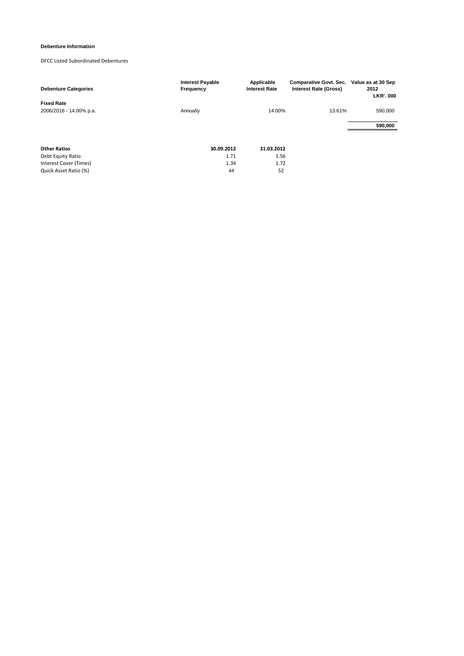# **Debenture Information**

# DFCC Listed Subordinated Debentures

| <b>Debenture Categories</b> | <b>Interest Payable</b><br>Frequency | Applicable<br><b>Interest Rate</b> | <b>Comparative Govt. Sec.</b><br><b>Interest Rate (Gross)</b> | Value as at 30 Sep<br>2012<br><b>LKR', 000</b> |
|-----------------------------|--------------------------------------|------------------------------------|---------------------------------------------------------------|------------------------------------------------|
| <b>Fixed Rate</b>           |                                      |                                    |                                                               |                                                |
| 2006/2016 - 14.00% p.a.     | Annually                             | 14.00%                             | 13.61%                                                        | 590,000                                        |
|                             |                                      |                                    |                                                               | 590,000                                        |
|                             |                                      |                                    |                                                               |                                                |
| <b>Other Ratios</b>         | 30.09.2012                           | 31.03.2012                         |                                                               |                                                |
| Debt Equity Ratio           | 1.71                                 | 1.56                               |                                                               |                                                |
| Interest Cover (Times)      | 1.34                                 | 1.72                               |                                                               |                                                |
| Quick Asset Ratio (%)       | 44                                   | 52                                 |                                                               |                                                |